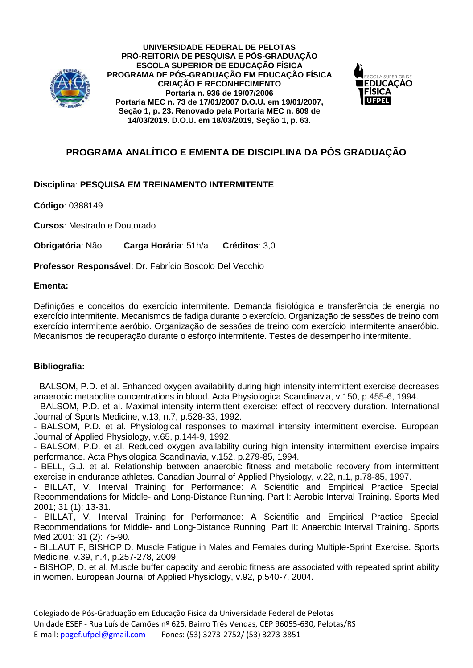

**UNIVERSIDADE FEDERAL DE PELOTAS PRÓ-REITORIA DE PESQUISA E PÓS-GRADUAÇÃO ESCOLA SUPERIOR DE EDUCAÇÃO FÍSICA PROGRAMA DE PÓS-GRADUAÇÃO EM EDUCAÇÃO FÍSICA CRIAÇÃO E RECONHECIMENTO Portaria n. 936 de 19/07/2006 Portaria MEC n. 73 de 17/01/2007 D.O.U. em 19/01/2007, Seção 1, p. 23. Renovado pela Portaria MEC n. 609 de 14/03/2019. D.O.U. em 18/03/2019, Seção 1, p. 63.**



## **PROGRAMA ANALÍTICO E EMENTA DE DISCIPLINA DA PÓS GRADUAÇÃO**

## **Disciplina**: **PESQUISA EM TREINAMENTO INTERMITENTE**

**Código**: 0388149

**Cursos**: Mestrado e Doutorado

**Obrigatória**: Não **Carga Horária**: 51h/a **Créditos**: 3,0

**Professor Responsável**: Dr. Fabrício Boscolo Del Vecchio

## **Ementa:**

Definições e conceitos do exercício intermitente. Demanda fisiológica e transferência de energia no exercício intermitente. Mecanismos de fadiga durante o exercício. Organização de sessões de treino com exercício intermitente aeróbio. Organização de sessões de treino com exercício intermitente anaeróbio. Mecanismos de recuperação durante o esforço intermitente. Testes de desempenho intermitente.

## **Bibliografia:**

- BALSOM, P.D. et al. Enhanced oxygen availability during high intensity intermittent exercise decreases anaerobic metabolite concentrations in blood. Acta Physiologica Scandinavia, v.150, p.455-6, 1994.

- BALSOM, P.D. et al. Maximal-intensity intermittent exercise: effect of recovery duration. International Journal of Sports Medicine, v.13, n.7, p.528-33, 1992.

- BALSOM, P.D. et al. Physiological responses to maximal intensity intermittent exercise. European Journal of Applied Physiology, v.65, p.144-9, 1992.

- BALSOM, P.D. et al. Reduced oxygen availability during high intensity intermittent exercise impairs performance. Acta Physiologica Scandinavia, v.152, p.279-85, 1994.

- BELL, G.J. et al. Relationship between anaerobic fitness and metabolic recovery from intermittent exercise in endurance athletes. Canadian Journal of Applied Physiology, v.22, n.1, p.78-85, 1997.

- BILLAT, V. Interval Training for Performance: A Scientific and Empirical Practice Special Recommendations for Middle- and Long-Distance Running. Part I: Aerobic Interval Training. Sports Med 2001; 31 (1): 13-31.

- BILLAT, V. Interval Training for Performance: A Scientific and Empirical Practice Special Recommendations for Middle- and Long-Distance Running. Part II: Anaerobic Interval Training. Sports Med 2001; 31 (2): 75-90.

- BILLAUT F, BISHOP D. Muscle Fatigue in Males and Females during Multiple-Sprint Exercise. Sports Medicine, v.39, n.4, p.257-278, 2009.

- BISHOP, D. et al. Muscle buffer capacity and aerobic fitness are associated with repeated sprint ability in women. European Journal of Applied Physiology, v.92, p.540-7, 2004.

Colegiado de Pós-Graduação em Educação Física da Universidade Federal de Pelotas Unidade ESEF - Rua Luís de Camões nº 625, Bairro Três Vendas, CEP 96055-630, Pelotas/RS E-mail: [ppgef.ufpel@gmail.com](mailto:ppgef.ufpel@gmail.com) Fones: (53) 3273-2752/ (53) 3273-3851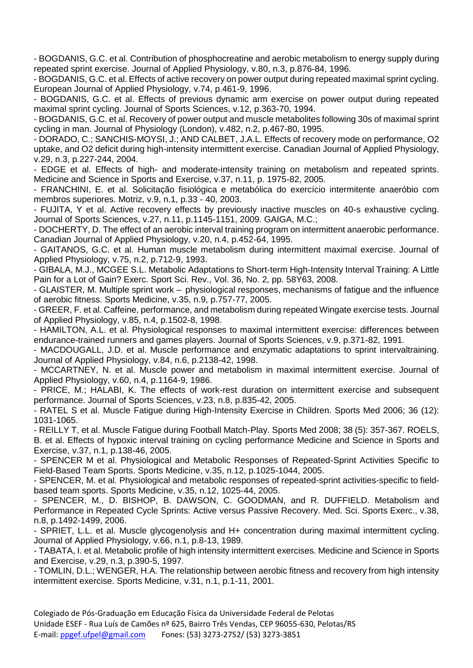- BOGDANIS, G.C. et al. Contribution of phosphocreatine and aerobic metabolism to energy supply during repeated sprint exercise. Journal of Applied Physiology, v.80, n.3, p.876-84, 1996.

- BOGDANIS, G.C. et al. Effects of active recovery on power output during repeated maximal sprint cycling. European Journal of Applied Physiology, v.74, p.461-9, 1996.

- BOGDANIS, G.C. et al. Effects of previous dynamic arm exercise on power output during repeated maximal sprint cycling. Journal of Sports Sciences, v.12, p.363-70, 1994.

- BOGDANIS, G.C. et al. Recovery of power output and muscle metabolites following 30s of maximal sprint cycling in man. Journal of Physiology (London), v.482, n.2, p.467-80, 1995.

- DORADO, C.; SANCHIS-MOYSI, J.; AND CALBET, J.A.L. Effects of recovery mode on performance, O2 uptake, and O2 deficit during high-intensity intermittent exercise. Canadian Journal of Applied Physiology, v.29, n.3, p.227-244, 2004.

- EDGE et al. Effects of high- and moderate-intensity training on metabolism and repeated sprints. Medicine and Science in Sports and Exercise, v.37, n.11, p. 1975-82, 2005.

- FRANCHINI, E. et al. Solicitação fisiológica e metabólica do exercício intermitente anaeróbio com membros superiores. Motriz, v.9, n.1, p.33 - 40, 2003.

- FUJITA, Y et al. Active recovery effects by previously inactive muscles on 40-s exhaustive cycling. Journal of Sports Sciences, v.27, n.11, p.1145-1151, 2009. GAIGA, M.C.;

- DOCHERTY, D. The effect of an aerobic interval training program on intermittent anaerobic performance. Canadian Journal of Applied Physiology, v.20, n.4, p.452-64, 1995.

- GAITANOS, G.C. et al. Human muscle metabolism during intermittent maximal exercise. Journal of Applied Physiology, v.75, n.2, p.712-9, 1993.

- GIBALA, M.J., MCGEE S.L. Metabolic Adaptations to Short-term High-Intensity Interval Training: A Little Pain for a Lot of Gain? Exerc. Sport Sci. Rev., Vol. 36, No. 2, pp. 58Y63, 2008.

- GLAISTER, M. Multiple sprint work – physiological responses, mechanisms of fatigue and the influence of aerobic fitness. Sports Medicine, v.35, n.9, p.757-77, 2005.

- GREER, F. et al. Caffeine, performance, and metabolism during repeated Wingate exercise tests. Journal of Applied Physiology, v.85, n.4, p.1502-8, 1998.

- HAMILTON, A.L. et al. Physiological responses to maximal intermittent exercise: differences between endurance-trained runners and games players. Journal of Sports Sciences, v.9, p.371-82, 1991.

- MACDOUGALL, J.D. et al. Muscle performance and enzymatic adaptations to sprint intervaltraining. Journal of Applied Physiology, v.84, n.6, p.2138-42, 1998.

- MCCARTNEY, N. et al. Muscle power and metabolism in maximal intermittent exercise. Journal of Applied Physiology, v.60, n.4, p.1164-9, 1986.

- PRICE, M.; HALABI, K. The effects of work-rest duration on intermittent exercise and subsequent performance. Journal of Sports Sciences, v.23, n.8, p.835-42, 2005.

- RATEL S et al. Muscle Fatigue during High-Intensity Exercise in Children. Sports Med 2006; 36 (12): 1031-1065.

- REILLY T, et al. Muscle Fatigue during Football Match-Play. Sports Med 2008; 38 (5): 357-367. ROELS, B. et al. Effects of hypoxic interval training on cycling performance Medicine and Science in Sports and Exercise, v.37, n.1, p.138-46, 2005.

- SPENCER M et al. Physiological and Metabolic Responses of Repeated-Sprint Activities Specific to Field-Based Team Sports. Sports Medicine, v.35, n.12, p.1025-1044, 2005.

- SPENCER, M. et al. Physiological and metabolic responses of repeated-sprint activities-specific to fieldbased team sports. Sports Medicine, v.35, n.12, 1025-44, 2005.

- SPENCER, M., D. BISHOP, B. DAWSON, C. GOODMAN, and R. DUFFIELD. Metabolism and Performance in Repeated Cycle Sprints: Active versus Passive Recovery. Med. Sci. Sports Exerc., v.38, n.8, p.1492-1499, 2006.

- SPRIET, L.L. et al. Muscle glycogenolysis and H+ concentration during maximal intermittent cycling. Journal of Applied Physiology, v.66, n.1, p.8-13, 1989.

- TABATA, I. et al. Metabolic profile of high intensity intermittent exercises. Medicine and Science in Sports and Exercise, v.29, n.3, p.390-5, 1997.

- TOMLIN, D.L.; WENGER, H.A. The relationship between aerobic fitness and recovery from high intensity intermittent exercise. Sports Medicine, v.31, n.1, p.1-11, 2001.

Colegiado de Pós-Graduação em Educação Física da Universidade Federal de Pelotas Unidade ESEF - Rua Luís de Camões nº 625, Bairro Três Vendas, CEP 96055-630, Pelotas/RS E-mail: [ppgef.ufpel@gmail.com](mailto:ppgef.ufpel@gmail.com) Fones: (53) 3273-2752/ (53) 3273-3851